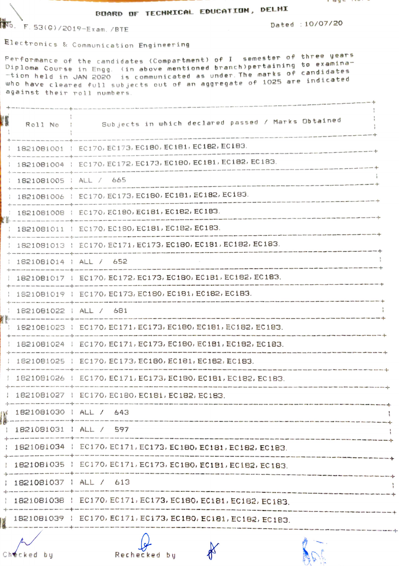## **BOARD OF TECHNICAL EDUCATION, DELHI**

**14**6. F. 53(G)/2019-Exam./BTE

Dated : 10/07/20

Electronics & Communication Engineering

Performance of the candidates (Compartment) of I semester of three years Diploma Course in Engg. (in above mentioned branch)pertaining to examination held in JAN 2020 is communicated as under. The marks of candidates who have cleared full subjects out of an aggregate of 1025 are indicated against their roll numbers.

| Roll No                  | Subjects in which declared passed / Marks Obtained                                                                                                                                                                             |                                                                                                                                          |  |
|--------------------------|--------------------------------------------------------------------------------------------------------------------------------------------------------------------------------------------------------------------------------|------------------------------------------------------------------------------------------------------------------------------------------|--|
|                          | 1821081001   EC170, EC173, EC180, EC181, EC182, EC183.                                                                                                                                                                         |                                                                                                                                          |  |
|                          | 1821081004   EC170, EC172, EC173, EC180, EC181, EC182, EC183.                                                                                                                                                                  |                                                                                                                                          |  |
|                          | 1821081005   ALL / 665                                                                                                                                                                                                         |                                                                                                                                          |  |
|                          | 1821081006   EC170, EC173, EC180, EC181, EC182, EC183.                                                                                                                                                                         |                                                                                                                                          |  |
|                          | : 1821081008 : EC170, EC180, EC181, EC182, EC183.                                                                                                                                                                              |                                                                                                                                          |  |
|                          | 1821081011   EC170, EC180, EC181, EC182, EC183.                                                                                                                                                                                |                                                                                                                                          |  |
|                          | 1821081013   EC170, EC171, EC173, EC180, EC181, EC182, EC183.                                                                                                                                                                  |                                                                                                                                          |  |
| 1821081014   ALL / 652   |                                                                                                                                                                                                                                |                                                                                                                                          |  |
|                          | 1821081017   EC170, EC172, EC173, EC180, EC181, EC182, EC183.                                                                                                                                                                  |                                                                                                                                          |  |
|                          | 1821081019   EC170, EC173, EC180, EC181, EC182, EC183.                                                                                                                                                                         |                                                                                                                                          |  |
| 1821081022   ALL / 681   |                                                                                                                                                                                                                                |                                                                                                                                          |  |
|                          | 1821081023   EC170, EC171, EC173, EC180, EC181, EC182, EC183.                                                                                                                                                                  | .<br>Notif comp gants come quate come auge gants come quadi totes vess littés deux sont come quite repos autre come com                  |  |
|                          | 1821081024   EC170, EC171, EC173, EC180, EC181, EC182, EC183.                                                                                                                                                                  |                                                                                                                                          |  |
|                          | 1821081025   EC170, EC173, EC180, EC181, EC182, EC183.                                                                                                                                                                         | .<br>Pleas gaps more rough actic times more more come after come celle more, publication model filler more celle facta cities there coup |  |
|                          | 1821081026   EC170, EC171, EC173, EC180, EC181, EC182, EC183.                                                                                                                                                                  | temp point lines today rings hows with right with court and three most fifter with militar many and hope with range and adapt            |  |
|                          | 1821081027   EC170, EC180, EC181, EC182, EC183.                                                                                                                                                                                |                                                                                                                                          |  |
| 1821081030   ALL / 643   |                                                                                                                                                                                                                                |                                                                                                                                          |  |
| $1821081031$ $ALL / 597$ |                                                                                                                                                                                                                                |                                                                                                                                          |  |
|                          | : 1821081034 : EC170, EC171, EC173, EC180, EC181, EC182, EC183.                                                                                                                                                                |                                                                                                                                          |  |
|                          | 1821081035   EC170, EC171, EC173, EC180, EC181, EC182, EC183,                                                                                                                                                                  |                                                                                                                                          |  |
| 1821081037   ALL / 613   |                                                                                                                                                                                                                                |                                                                                                                                          |  |
|                          | 1821081038   EC170, EC171, EC173, EC180, EC181, EC182, EC183,                                                                                                                                                                  |                                                                                                                                          |  |
|                          | $\frac{1}{2}$ 1821081039   EC170, EC171, EC173, EC180, EC181, EC182, EC183.                                                                                                                                                    |                                                                                                                                          |  |
|                          | but with one with the set with the you had the you can use the set of the contract the contract the contract the town one can be set the set that with the with the this with file and the set that was fifth the set of the s |                                                                                                                                          |  |

Checked by

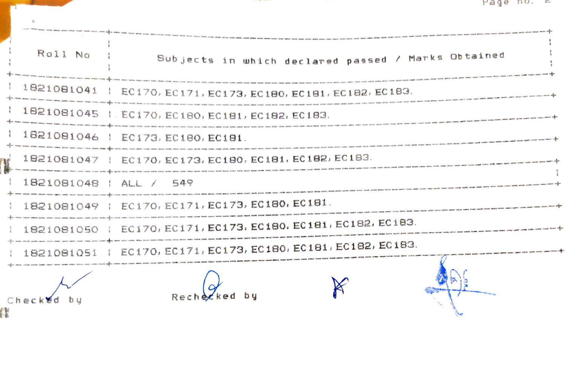|                        | Hade no. E                                                    |  |
|------------------------|---------------------------------------------------------------|--|
| Roll No                | Subjects in which declared passed / Marks Obtained            |  |
|                        | 1821081041   EC170, EC171, EC173, EC180, EC181, EC182, EC183. |  |
|                        | 1821081045   EC170, EC180, EC181, EC182, EC183.               |  |
|                        | 1821081046   EC173, EC180, EC181.                             |  |
|                        | $1821081047 + EC170, EC173, EC180, EC181, EC182, EC183.$      |  |
| 1821081048   ALL / 549 |                                                               |  |
|                        | 1821081049   EC170, EC171, EC173, EC180, EC181.               |  |
|                        | 1821081050   EC170, EC171, EC173, EC180, EC181, EC182, EC183. |  |
|                        | 1821081051   EC170, EC171, EC173, EC180, EC181, EC182, EC183. |  |
| Checked                | Recherk                                                       |  |